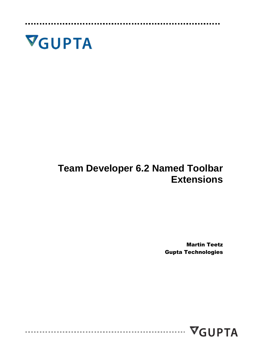

## **Team Developer 6.2 Named Toolbar Extensions**

Martin Teetz Gupta Technologies

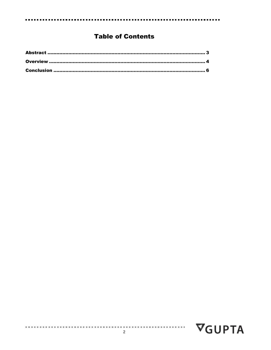### **Table of Contents**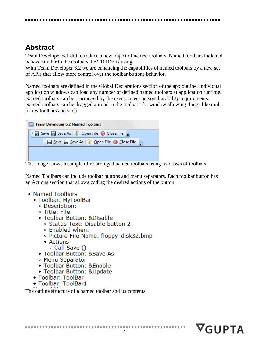## <span id="page-2-0"></span>**Abstract**

Team Developer 6.1 did introduce a new object of named toolbars. Named toolbars look and behave similar to the toolbars the TD IDE is using.

With Team Developer 6.2 we are enhancing the capabilities of named toolbars by a new set of APIs that allow more control over the toolbar buttons behavior.

Named toolbars are defined in the Global Declarations section of the app outline. Individual application windows can load any number of defined named toolbars at application runtime. Named toolbars can be rearranged by the user to meet personal usability requirements. Named toolbars can be dragged around in the toolbar of a window allowing things like multi-row toolbars and such.

| <b>Exam Developer 6.2 Named Toolbars</b>                                    |  |  |  |  |
|-----------------------------------------------------------------------------|--|--|--|--|
| $\frac{1}{2}$ Save $\Box$ Save As $\Box$ Open File $\Box$ Close File $\Box$ |  |  |  |  |
| Save a Save As Dopen File & Close File                                      |  |  |  |  |
|                                                                             |  |  |  |  |
|                                                                             |  |  |  |  |

The image shows a sample of re-arranged named toolbars using two rows of toolbars.

Named Toolbars can include toolbar buttons and menu separators. Each toolbar button has an Actions section that allows coding the desired actions of the button.

- Named Toolbars
	- ◆ Toolbar: MyToolBar
		- ◇ Description:
		- ◇ Title: File
		- Toolbar Button: &Disable
			- ◇ Status Text: Disable button 2
			- $\Diamond$  Enabled when:
			- ◇ Picture File Name: floppy disk32.bmp
			- $\triangle$  Actions
				- ◇ Call Save ()
		- Toolbar Button: &Save As
		- ◇ Menu Separator
		- Toolbar Button: & Enable
		- ◆ Toolbar Button: &Update
	- Toolbar: ToolBar
	- ◆ Toolbar: ToolBar1

The outline structure of a named toolbar and its contents.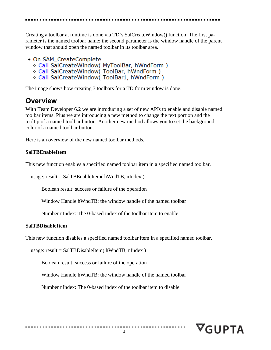Creating a toolbar at runtime is done via TD's SalCreateWindow() function. The first parameter is the named toolbar name; the second parameter is the window handle of the parent window that should open the named toolbar in its toolbar area.

- On SAM CreateComplete
	- ◇ Call SalCreateWindow( MyToolBar, hWndForm)
	- ◇ Call SalCreateWindow(ToolBar, hWndForm)
	- ◇ Call SalCreateWindow(ToolBar1, hWndForm)

<span id="page-3-0"></span>The image shows how creating 3 toolbars for a TD form window is done.

## **Overview**

With Team Developer 6.2 we are introducing a set of new APIs to enable and disable named toolbar items. Plus we are introducing a new method to change the text portion and the tooltip of a named toolbar button. Another new method allows you to set the background color of a named toolbar button.

Here is an overview of the new named toolbar methods.

### **SalTBEnableItem**

This new function enables a specified named toolbar item in a specified named toolbar.

```
 usage: result = SalTBEnableItem( hWndTB, nIndex )
```
Boolean result: success or failure of the operation

Window Handle hWndTB: the window handle of the named toolbar

Number nIndex: The 0-based index of the toolbar item to enable

### **SalTBDisableItem**

This new function disables a specified named toolbar item in a specified named toolbar.

usage: result = SalTBDisableItem( hWndTB, nIndex )

Boolean result: success or failure of the operation

Window Handle hWndTB: the window handle of the named toolbar

Number nIndex: The 0-based index of the toolbar item to disable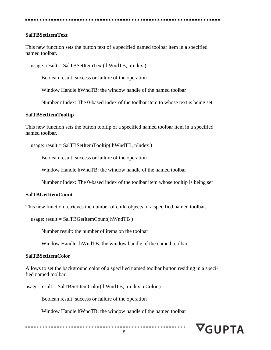#### **SalTBSetItemText**

This new function sets the button text of a specified named toolbar item in a specified named toolbar.

usage: result = SalTBSetItemText( hWndTB, nIndex )

Boolean result: success or failure of the operation

Window Handle hWndTB: the window handle of the named toolbar

Number nIndex: The 0-based index of the toolbar item to whose text is being set

#### **SalTBSetItemTooltip**

This new function sets the button tooltip of a specified named toolbar item in a specified named toolbar.

usage: result = SalTBSetItemTooltip( hWndTB, nIndex )

Boolean result: success or failure of the operation

Window Handle hWndTB: the window handle of the named toolbar

Number nIndex: The 0-based index of the toolbar item whose tooltip is being set

#### **SalTBGetItemCount**

This new function retrieves the number of child objects of a specified named toolbar.

```
 usage: result = SalTBGetItemCount( hWndTB )
```
Number result: the number of items on the toolbar

Window Handle: hWndTB: the window handle of the named toolbar

#### **SalTBSetItemColor**

Allows to set the background color of a specified named toolbar button residing in a specified named toolbar.

usage: result = SalTBSetItemColor( hWndTB, nIndex, nColor )

Boolean result: success or failure of the operation

Window Handle hWndTB: the window handle of the named toolbar

# $\nabla_G$ UPTA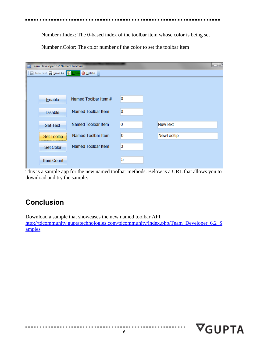Number nIndex: The 0-based index of the toolbar item whose color is being set Number nColor: The color number of the color to set the toolbar item

| Æ<br>Fig. Team Developer 6.2 Named Toolbars<br>▭ |                                                            |                      |   |                |  |  |  |  |
|--------------------------------------------------|------------------------------------------------------------|----------------------|---|----------------|--|--|--|--|
|                                                  | <b>Example 1</b> Save As <b>D</b> Open <b>&amp; Delete</b> |                      |   |                |  |  |  |  |
|                                                  |                                                            |                      |   |                |  |  |  |  |
|                                                  |                                                            |                      |   |                |  |  |  |  |
|                                                  | Enable                                                     | Named Toolbar Item # | 0 |                |  |  |  |  |
|                                                  |                                                            |                      |   |                |  |  |  |  |
|                                                  | <b>Disable</b>                                             | Named Toolbar Item   | 0 |                |  |  |  |  |
|                                                  |                                                            |                      |   |                |  |  |  |  |
|                                                  | <b>Set Text</b>                                            | Named Toolbar Item   | 0 | <b>NewText</b> |  |  |  |  |
|                                                  | Set Tooltip                                                | Named Toolbar Item   | 0 | NewTooltip     |  |  |  |  |
|                                                  |                                                            |                      |   |                |  |  |  |  |
|                                                  | Set Color                                                  | Named Toolbar Item   | 3 |                |  |  |  |  |
|                                                  |                                                            |                      |   |                |  |  |  |  |
|                                                  | <b>Item Count</b>                                          |                      | 5 |                |  |  |  |  |
|                                                  |                                                            |                      |   |                |  |  |  |  |

This is a sample app for the new named toolbar methods. Below is a URL that allows you to download and try the sample.

## <span id="page-5-0"></span>**Conclusion**

Download a sample that showcases the new named toolbar API. [http://tdcommunity.guptatechnologies.com/tdcommunity/index.php/Team\\_Developer\\_6.2\\_S](http://tdcommunity.guptatechnologies.com/tdcommunity/index.php/Team_Developer_6.2_Samples) [amples](http://tdcommunity.guptatechnologies.com/tdcommunity/index.php/Team_Developer_6.2_Samples)

**CONTRACTOR**